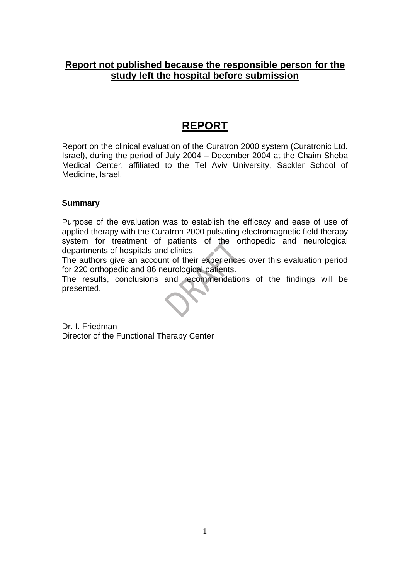## **Report not published because the responsible person for the study left the hospital before submission**

# **REPORT**

Report on the clinical evaluation of the Curatron 2000 system (Curatronic Ltd. Israel), during the period of July 2004 – December 2004 at the Chaim Sheba Medical Center, affiliated to the Tel Aviv University, Sackler School of Medicine, Israel.

## **Summary**

Purpose of the evaluation was to establish the efficacy and ease of use of applied therapy with the Curatron 2000 pulsating electromagnetic field therapy system for treatment of patients of the orthopedic and neurological departments of hospitals and clinics.

The authors give an account of their experiences over this evaluation period for 220 orthopedic and 86 neurological patients.

The results, conclusions and recommendations of the findings will be presented.

Dr. I. Friedman Director of the Functional Therapy Center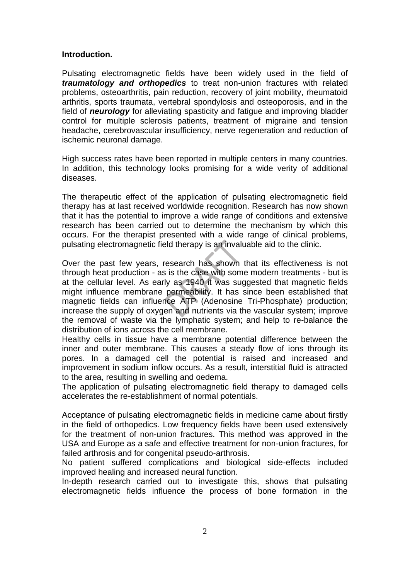### **Introduction.**

Pulsating electromagnetic fields have been widely used in the field of *traumatology and orthopedics* to treat non-union fractures with related problems, osteoarthritis, pain reduction, recovery of joint mobility, rheumatoid arthritis, sports traumata, vertebral spondylosis and osteoporosis, and in the field of *neurology* for alleviating spasticity and fatigue and improving bladder control for multiple sclerosis patients, treatment of migraine and tension headache, cerebrovascular insufficiency, nerve regeneration and reduction of ischemic neuronal damage.

High success rates have been reported in multiple centers in many countries. In addition, this technology looks promising for a wide verity of additional diseases.

The therapeutic effect of the application of pulsating electromagnetic field therapy has at last received worldwide recognition. Research has now shown that it has the potential to improve a wide range of conditions and extensive research has been carried out to determine the mechanism by which this occurs. For the therapist presented with a wide range of clinical problems, pulsating electromagnetic field therapy is an invaluable aid to the clinic.

Over the past few years, research has shown that its effectiveness is not through heat production - as is the case with some modern treatments - but is at the cellular level. As early as 1940 it was suggested that magnetic fields might influence membrane permeability. It has since been established that magnetic fields can influence ATP (Adenosine Tri-Phosphate) production; increase the supply of oxygen and nutrients via the vascular system; improve the removal of waste via the lymphatic system; and help to re-balance the distribution of ions across the cell membrane.

Healthy cells in tissue have a membrane potential difference between the inner and outer membrane. This causes a steady flow of ions through its pores. In a damaged cell the potential is raised and increased and improvement in sodium inflow occurs. As a result, interstitial fluid is attracted to the area, resulting in swelling and oedema.

The application of pulsating electromagnetic field therapy to damaged cells accelerates the re-establishment of normal potentials.

Acceptance of pulsating electromagnetic fields in medicine came about firstly in the field of orthopedics. Low frequency fields have been used extensively for the treatment of non-union fractures. This method was approved in the USA and Europe as a safe and effective treatment for non-union fractures, for failed arthrosis and for congenital pseudo-arthrosis.

No patient suffered complications and biological side-effects included improved healing and increased neural function.

In-depth research carried out to investigate this, shows that pulsating electromagnetic fields influence the process of bone formation in the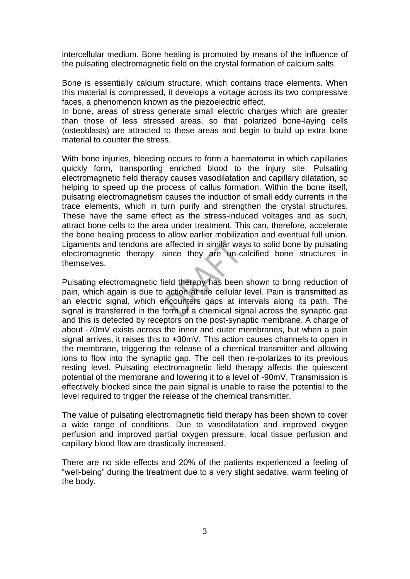intercellular medium. Bone healing is promoted by means of the influence of the pulsating electromagnetic field on the crystal formation of calcium salts.

Bone is essentially calcium structure, which contains trace elements. When this material is compressed, it develops a voltage across its two compressive faces, a phenomenon known as the piezoelectric effect.

In bone, areas of stress generate small electric charges which are greater than those of less stressed areas, so that polarized bone-laying cells (osteoblasts) are attracted to these areas and begin to build up extra bone material to counter the stress.

With bone injuries, bleeding occurs to form a haematoma in which capillaries quickly form, transporting enriched blood to the injury site. Pulsating electromagnetic field therapy causes vasodilatation and capillary dilatation, so helping to speed up the process of callus formation. Within the bone itself, pulsating electromagnetism causes the induction of small eddy currents in the trace elements, which in turn purify and strengthen the crystal structures. These have the same effect as the stress-induced voltages and as such, attract bone cells to the area under treatment. This can, therefore, accelerate the bone healing process to allow earlier mobilization and eventual full union. Ligaments and tendons are affected in similar ways to solid bone by pulsating electromagnetic therapy, since they are un-calcified bone structures in themselves.

Pulsating electromagnetic field therapy has been shown to bring reduction of pain, which again is due to action at the cellular level. Pain is transmitted as an electric signal, which encounters gaps at intervals along its path. The signal is transferred in the form of a chemical signal across the synaptic gap and this is detected by receptors on the post-synaptic membrane. A charge of about -70mV exists across the inner and outer membranes, but when a pain signal arrives, it raises this to +30mV. This action causes channels to open in the membrane, triggering the release of a chemical transmitter and allowing ions to flow into the synaptic gap. The cell then re-polarizes to its previous resting level. Pulsating electromagnetic field therapy affects the quiescent potential of the membrane and lowering it to a level of -90mV. Transmission is effectively blocked since the pain signal is unable to raise the potential to the level required to trigger the release of the chemical transmitter.

The value of pulsating electromagnetic field therapy has been shown to cover a wide range of conditions. Due to vasodilatation and improved oxygen perfusion and improved partial oxygen pressure, local tissue perfusion and capillary blood flow are drastically increased.

There are no side effects and 20% of the patients experienced a feeling of "well-being" during the treatment due to a very slight sedative, warm feeling of the body.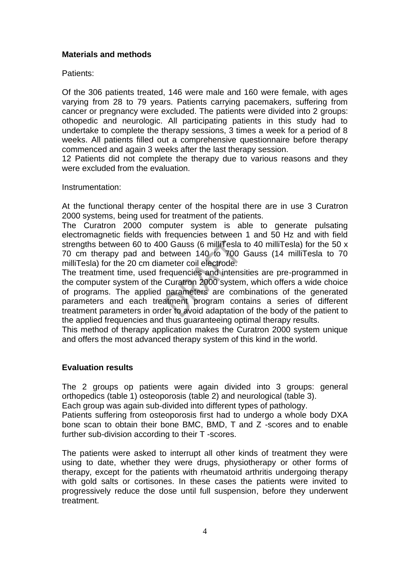## **Materials and methods**

Patients:

Of the 306 patients treated, 146 were male and 160 were female, with ages varying from 28 to 79 years. Patients carrying pacemakers, suffering from cancer or pregnancy were excluded. The patients were divided into 2 groups: othopedic and neurologic. All participating patients in this study had to undertake to complete the therapy sessions, 3 times a week for a period of 8 weeks. All patients filled out a comprehensive questionnaire before therapy commenced and again 3 weeks after the last therapy session.

12 Patients did not complete the therapy due to various reasons and they were excluded from the evaluation.

Instrumentation:

At the functional therapy center of the hospital there are in use 3 Curatron 2000 systems, being used for treatment of the patients.

The Curatron 2000 computer system is able to generate pulsating electromagnetic fields with frequencies between 1 and 50 Hz and with field strengths between 60 to 400 Gauss (6 milliTesla to 40 milliTesla) for the 50 x 70 cm therapy pad and between 140 to 700 Gauss (14 milliTesla to 70 milliTesla) for the 20 cm diameter coil electrode.

The treatment time, used frequencies and intensities are pre-programmed in the computer system of the Curatron 2000 system, which offers a wide choice of programs. The applied parameters are combinations of the generated parameters and each treatment program contains a series of different treatment parameters in order to avoid adaptation of the body of the patient to the applied frequencies and thus guaranteeing optimal therapy results.

This method of therapy application makes the Curatron 2000 system unique and offers the most advanced therapy system of this kind in the world.

## **Evaluation results**

The 2 groups op patients were again divided into 3 groups: general orthopedics (table 1) osteoporosis (table 2) and neurological (table 3).

Each group was again sub-divided into different types of pathology.

Patients suffering from osteoporosis first had to undergo a whole body DXA bone scan to obtain their bone BMC, BMD, T and Z -scores and to enable further sub-division according to their T -scores.

The patients were asked to interrupt all other kinds of treatment they were using to date, whether they were drugs, physiotherapy or other forms of therapy, except for the patients with rheumatoid arthritis undergoing therapy with gold salts or cortisones. In these cases the patients were invited to progressively reduce the dose until full suspension, before they underwent treatment.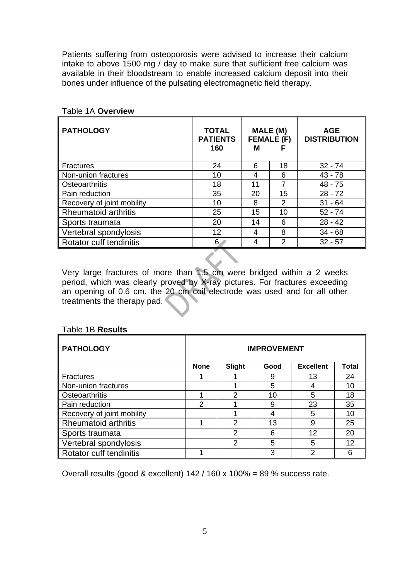Patients suffering from osteoporosis were advised to increase their calcium intake to above 1500 mg / day to make sure that sufficient free calcium was available in their bloodstream to enable increased calcium deposit into their bones under influence of the pulsating electromagnetic field therapy.

| <b>PATHOLOGY</b>           | <b>TOTAL</b><br><b>PATIENTS</b><br>160 | MALE (M)<br><b>FEMALE (F)</b><br>м<br>F |               | <b>AGE</b><br><b>DISTRIBUTION</b> |  |
|----------------------------|----------------------------------------|-----------------------------------------|---------------|-----------------------------------|--|
| <b>Fractures</b>           | 24                                     | 6                                       | 18            | $32 - 74$                         |  |
| Non-union fractures        | 10                                     | 4                                       | 6             | $43 - 78$                         |  |
| Osteoarthritis             | 18                                     | 11                                      | 7             | $48 - 75$                         |  |
| Pain reduction             | 35                                     | 20                                      | 15            | $28 - 72$                         |  |
| Recovery of joint mobility | 10                                     | 8                                       | 2             | $31 - 64$                         |  |
| Rheumatoid arthritis       | 25                                     | 15                                      | 10            | $52 - 74$                         |  |
| Sports traumata            | 20                                     | 14                                      | 6             | $28 - 42$                         |  |
| Vertebral spondylosis      | 12                                     | 4                                       | 8             | $34 - 68$                         |  |
| Rotator cuff tendinitis    | 6.                                     |                                         | $\mathcal{P}$ | $32 - 57$                         |  |

## Table 1A **Overview**

Very large fractures of more than 1.5 cm were bridged within a 2 weeks period, which was clearly proved by X-ray pictures. For fractures exceeding an opening of 0.6 cm. the 20 cm coil electrode was used and for all other treatments the therapy pad.

#### Table 1B **Results**

| <b>PATHOLOGY</b>           | <b>IMPROVEMENT</b> |               |      |                  |              |
|----------------------------|--------------------|---------------|------|------------------|--------------|
|                            | <b>None</b>        | Slight        | Good | <b>Excellent</b> | <b>Total</b> |
| <b>Fractures</b>           |                    |               | 9    | 13               | 24           |
| Non-union fractures        |                    |               | 5    | 4                | 10           |
| Osteoarthritis             |                    | $\mathcal{P}$ | 10   | 5                | 18           |
| Pain reduction             | 2                  |               | 9    | 23               | 35           |
| Recovery of joint mobility |                    |               |      | 5                | 10           |
| Rheumatoid arthritis       | ٠                  | $\mathcal{P}$ | 13   | 9                | 25           |
| Sports traumata            |                    | $\mathcal{P}$ | 6    | 12               | 20           |
| Vertebral spondylosis      |                    | 2             | 5    | 5                | 12           |
| Rotator cuff tendinitis    |                    |               | 3    | っ                |              |

Overall results (good & excellent) 142 / 160 x 100% = 89 % success rate.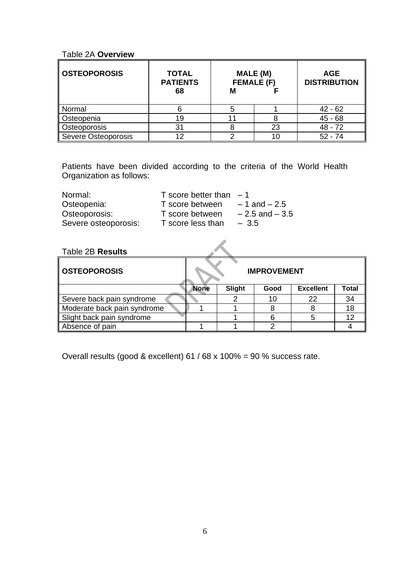#### Table 2A **Overview**

| <b>OSTEOPOROSIS</b> | <b>TOTAL</b><br><b>PATIENTS</b><br>68 | MALE (M)<br><b>FEMALE (F)</b><br>М |    | <b>AGE</b><br><b>DISTRIBUTION</b> |  |
|---------------------|---------------------------------------|------------------------------------|----|-----------------------------------|--|
|                     |                                       |                                    |    |                                   |  |
| Normal              |                                       |                                    |    | $42 - 62$                         |  |
| Osteopenia          | 19                                    |                                    |    | $45 - 68$                         |  |
| Osteoporosis        | 31                                    |                                    | 23 | 48 - 72                           |  |
| Severe Osteoporosis | 12                                    |                                    | 10 | $52 - 74$                         |  |

Patients have been divided according to the criteria of the World Health Organization as follows:

| Normal:              | T score better than $-1$ |                   |
|----------------------|--------------------------|-------------------|
| Osteopenia:          | T score between          | $-1$ and $-2.5$   |
| Osteoporosis:        | T score between          | $-2.5$ and $-3.5$ |
| Severe osteoporosis: | T score less than        | $-3.5$            |

## Table 2B **Results**

| ∥ OSTEOPOROSIS              | <b>IMPROVEMENT</b> |        |      |                  |       |  |
|-----------------------------|--------------------|--------|------|------------------|-------|--|
|                             | <b>None</b>        | Slight | Good | <b>Excellent</b> | Total |  |
| Severe back pain syndrome   |                    |        | 10   | 22               | 34    |  |
| Moderate back pain syndrome |                    |        |      |                  | 18    |  |
| Slight back pain syndrome   |                    |        | 6    |                  | 12    |  |
| Absence of pain             |                    |        |      |                  |       |  |

 $\lambda$ 

Overall results (good & excellent) 61 / 68 x 100% = 90 % success rate.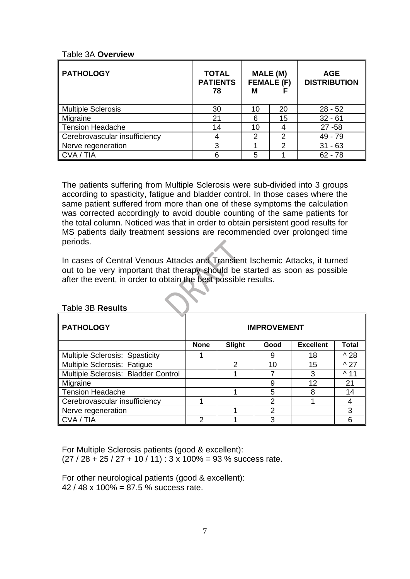#### Table 3A **Overview**

| <b>PATHOLOGY</b>              | <b>TOTAL</b><br><b>PATIENTS</b><br>78 | <b>MALE (M)</b><br><b>FEMALE (F)</b><br>М |    | <b>AGE</b><br><b>DISTRIBUTION</b> |  |
|-------------------------------|---------------------------------------|-------------------------------------------|----|-----------------------------------|--|
| <b>Multiple Sclerosis</b>     | 30                                    | 10                                        | 20 | $28 - 52$                         |  |
| Migraine                      | 21                                    | 6                                         | 15 | $32 - 61$                         |  |
| <b>Tension Headache</b>       | 14                                    | 10                                        | 4  | $27 - 58$                         |  |
| Cerebrovascular insufficiency | 4                                     | $\mathcal{P}$                             | 2  | 49 - 79                           |  |
| Nerve regeneration            | 3                                     |                                           | っ  | $31 - 63$                         |  |
| CVA / TIA                     | 6                                     | 5                                         |    | $62 - 78$                         |  |

The patients suffering from Multiple Sclerosis were sub-divided into 3 groups according to spasticity, fatigue and bladder control. In those cases where the same patient suffered from more than one of these symptoms the calculation was corrected accordingly to avoid double counting of the same patients for the total column. Noticed was that in order to obtain persistent good results for MS patients daily treatment sessions are recommended over prolonged time periods.

In cases of Central Venous Attacks and Transient Ischemic Attacks, it turned out to be very important that therapy should be started as soon as possible after the event, in order to obtain the best possible results.

| able 3B R <b>esults</b>             |                    |        |               |                  |                |
|-------------------------------------|--------------------|--------|---------------|------------------|----------------|
| <b>PATHOLOGY</b>                    | <b>IMPROVEMENT</b> |        |               |                  |                |
|                                     | <b>None</b>        | Slight | Good          | <b>Excellent</b> | <b>Total</b>   |
| Multiple Sclerosis: Spasticity      |                    |        | 9             | 18               | $^{\wedge}$ 28 |
| Multiple Sclerosis: Fatigue         |                    | 2      | 10            | 15               | $^{\wedge}$ 27 |
| Multiple Sclerosis: Bladder Control |                    |        |               | 3                | $^{\wedge}$ 11 |
| Migraine                            |                    |        | 9             | 12               | 21             |
| <b>Tension Headache</b>             |                    |        | 5             | 8                | 14             |
| Cerebrovascular insufficiency       | и                  |        | $\mathcal{P}$ |                  | 4              |
| Nerve regeneration                  |                    |        | 2             |                  | 3              |
| CVA / TIA                           | 2                  |        | 3             |                  | 6              |

#### Table 3B **Results**

For Multiple Sclerosis patients (good & excellent):  $(27 / 28 + 25 / 27 + 10 / 11)$ : 3 x 100% = 93 % success rate.

For other neurological patients (good & excellent): 42 / 48 x 100% = 87.5 % success rate.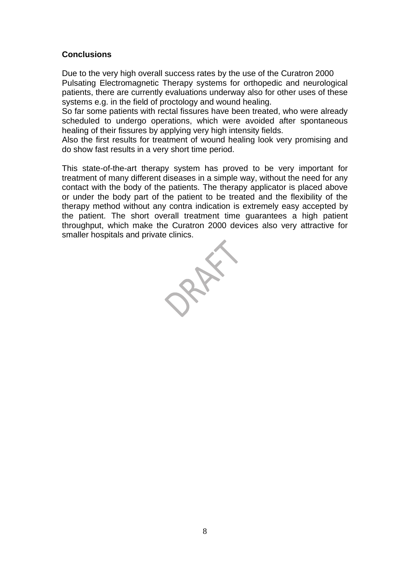## **Conclusions**

Due to the very high overall success rates by the use of the Curatron 2000 Pulsating Electromagnetic Therapy systems for orthopedic and neurological patients, there are currently evaluations underway also for other uses of these systems e.g. in the field of proctology and wound healing.

So far some patients with rectal fissures have been treated, who were already scheduled to undergo operations, which were avoided after spontaneous healing of their fissures by applying very high intensity fields.

Also the first results for treatment of wound healing look very promising and do show fast results in a very short time period.

This state-of-the-art therapy system has proved to be very important for treatment of many different diseases in a simple way, without the need for any contact with the body of the patients. The therapy applicator is placed above or under the body part of the patient to be treated and the flexibility of the therapy method without any contra indication is extremely easy accepted by the patient. The short overall treatment time guarantees a high patient throughput, which make the Curatron 2000 devices also very attractive for smaller hospitals and private clinics.